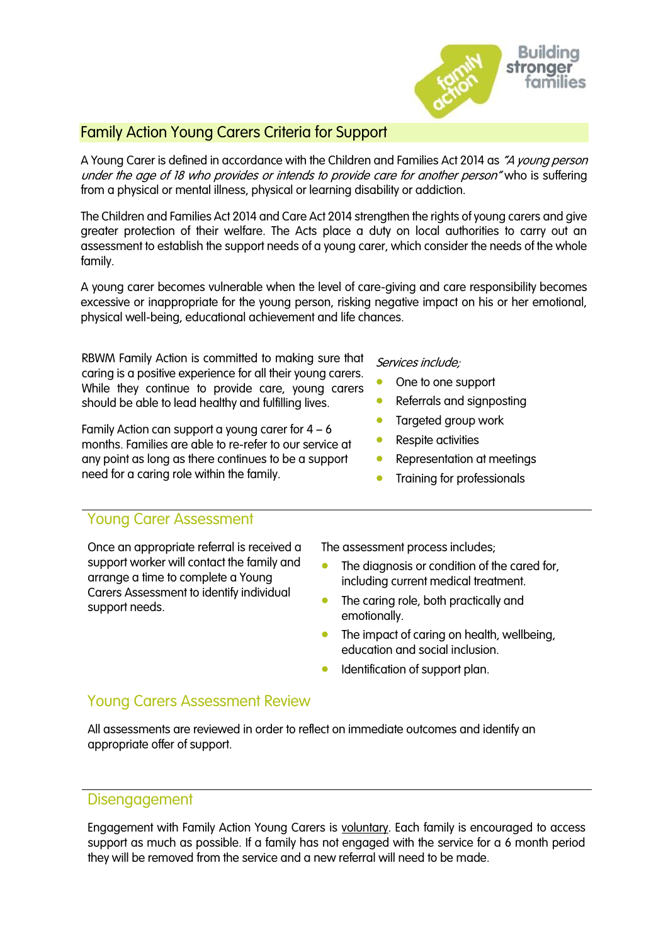

### Family Action Young Carers Criteria for Support

A Young Carer is defined in accordance with the Children and Families Act 2014 as "A young person under the age of 18 who provides or intends to provide care for another person" who is suffering from a physical or mental illness, physical or learning disability or addiction.

The Children and Families Act 2014 and Care Act 2014 strengthen the rights of young carers and give greater protection of their welfare. The Acts place a duty on local authorities to carry out an assessment to establish the support needs of a young carer, which consider the needs of the whole family.

A young carer becomes vulnerable when the level of care-giving and care responsibility becomes excessive or inappropriate for the young person, risking negative impact on his or her emotional, physical well-being, educational achievement and life chances.

RBWM Family Action is committed to making sure that caring is a positive experience for all their young carers. While they continue to provide care, young carers should be able to lead healthy and fulfilling lives.

Family Action can support a young carer for  $4 - 6$ months. Families are able to re-refer to our service at any point as long as there continues to be a support need for a caring role within the family.

#### Services include;

- One to one support
- Referrals and signposting
- Targeted group work
- Respite activities
- Representation at meetings
- Training for professionals

#### Young Carer Assessment

Once an appropriate referral is received a support worker will contact the family and arrange a time to complete a Young Carers Assessment to identify individual support needs.

The assessment process includes;

- The diagnosis or condition of the cared for, including current medical treatment.
- The caring role, both practically and emotionally.
- The impact of caring on health, wellbeing, education and social inclusion.
- Identification of support plan.

#### Young Carers Assessment Review

All assessments are reviewed in order to reflect on immediate outcomes and identify an appropriate offer of support.

#### Disengagement

Engagement with Family Action Young Carers is voluntary. Each family is encouraged to access support as much as possible. If a family has not engaged with the service for a 6 month period they will be removed from the service and a new referral will need to be made.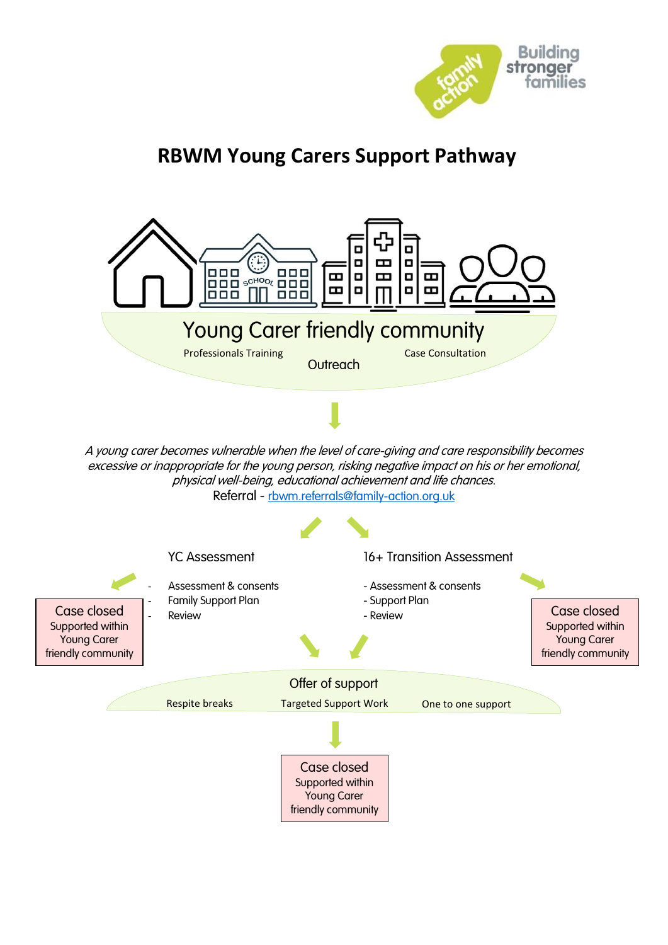

# **RBWM Young Carers Support Pathway**